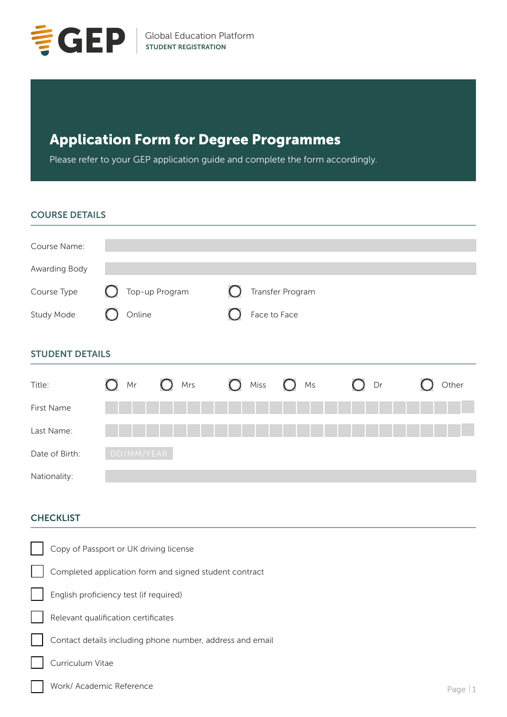

# Application Form for Degree Programmes

Please refer to your GEP application guide and complete the form accordingly.

#### COURSE DETAILS

| Course Name:  |                                          |                  |  |
|---------------|------------------------------------------|------------------|--|
| Awarding Body |                                          |                  |  |
| Course Type   | Top-up Program<br>$\left( \quad \right)$ | Transfer Program |  |
| Study Mode    | Online                                   | Face to Face     |  |
|               |                                          |                  |  |

# STUDENT DETAILS

| Title:         | Mr<br>( )  | $O$ Mrs | $\bigcirc$ | Miss $\bigcirc$ Ms | $O$ Dr | Other |
|----------------|------------|---------|------------|--------------------|--------|-------|
| First Name     |            |         |            |                    |        |       |
| Last Name:     |            |         |            |                    |        |       |
| Date of Birth: | DD/MM/YEAR |         |            |                    |        |       |
| Nationality:   |            |         |            |                    |        |       |

# **CHECKLIST**

| Copy of Passport or UK driving license                    |    |
|-----------------------------------------------------------|----|
| Completed application form and signed student contract    |    |
| English proficiency test (if required)                    |    |
| Relevant qualification certificates                       |    |
| Contact details including phone number, address and email |    |
| Curriculum Vitae                                          |    |
| Work/ Academic Reference                                  | Pa |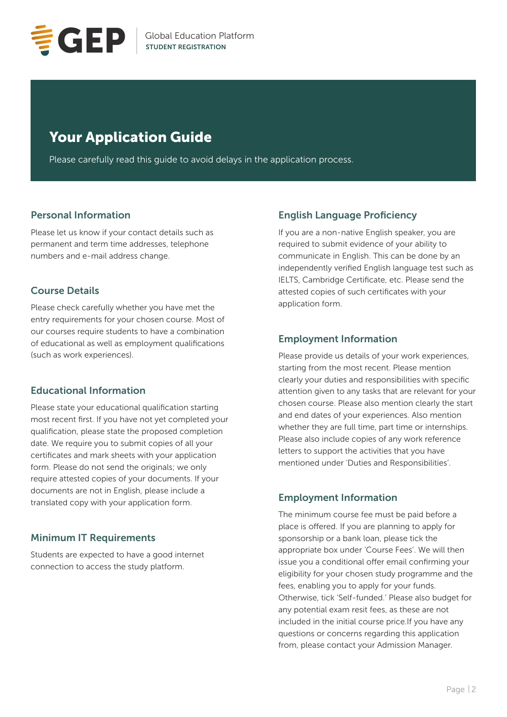

# Your Application Guide

Please carefully read this guide to avoid delays in the application process.

#### Personal Information

Please let us know if your contact details such as permanent and term time addresses, telephone numbers and e-mail address change.

### Course Details

Please check carefully whether you have met the entry requirements for your chosen course. Most of our courses require students to have a combination of educational as well as employment qualifications (such as work experiences).

### Educational Information

Please state your educational qualification starting most recent first. If you have not yet completed your qualification, please state the proposed completion date. We require you to submit copies of all your certificates and mark sheets with your application form. Please do not send the originals; we only require attested copies of your documents. If your documents are not in English, please include a translated copy with your application form.

#### Minimum IT Requirements

Students are expected to have a good internet connection to access the study platform.

# English Language Proficiency

If you are a non-native English speaker, you are required to submit evidence of your ability to communicate in English. This can be done by an independently verified English language test such as IELTS, Cambridge Certificate, etc. Please send the attested copies of such certificates with your application form.

### Employment Information

Please provide us details of your work experiences, starting from the most recent. Please mention clearly your duties and responsibilities with specific attention given to any tasks that are relevant for your chosen course. Please also mention clearly the start and end dates of your experiences. Also mention whether they are full time, part time or internships. Please also include copies of any work reference letters to support the activities that you have mentioned under 'Duties and Responsibilities'.

### Employment Information

The minimum course fee must be paid before a place is offered. If you are planning to apply for sponsorship or a bank loan, please tick the appropriate box under 'Course Fees'. We will then issue you a conditional offer email confirming your eligibility for your chosen study programme and the fees, enabling you to apply for your funds. Otherwise, tick 'Self-funded.' Please also budget for any potential exam resit fees, as these are not included in the initial course price.If you have any questions or concerns regarding this application from, please contact your Admission Manager.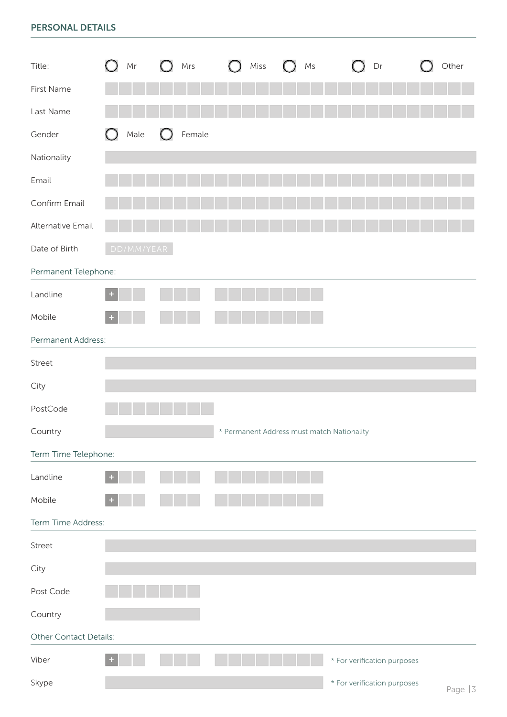# PERSONAL DETAILS

| Title:                 | $\mathsf{Mr}$ | Mrs                  | Miss<br>$\cup$ | $\mathsf{Ms}$                              | Dr                          | Other<br>$\bigcirc$ |
|------------------------|---------------|----------------------|----------------|--------------------------------------------|-----------------------------|---------------------|
| First Name             |               |                      |                |                                            |                             |                     |
| Last Name              |               |                      |                |                                            |                             |                     |
| Gender                 | Male<br>O     | Female<br>$\bigcirc$ |                |                                            |                             |                     |
| Nationality            |               |                      |                |                                            |                             |                     |
| Email                  |               |                      |                |                                            |                             |                     |
| Confirm Email          |               |                      |                |                                            |                             |                     |
| Alternative Email      |               |                      |                |                                            |                             |                     |
| Date of Birth          | DD/MM/YEAR    |                      |                |                                            |                             |                     |
| Permanent Telephone:   |               |                      |                |                                            |                             |                     |
| Landline               | ÷             |                      |                |                                            |                             |                     |
| Mobile                 | $\pm$         |                      |                |                                            |                             |                     |
| Permanent Address:     |               |                      |                |                                            |                             |                     |
| Street                 |               |                      |                |                                            |                             |                     |
| City                   |               |                      |                |                                            |                             |                     |
| PostCode               |               |                      |                |                                            |                             |                     |
| Country                |               |                      |                | * Permanent Address must match Nationality |                             |                     |
| Term Time Telephone:   |               |                      |                |                                            |                             |                     |
| Landline               |               |                      |                |                                            |                             |                     |
| Mobile                 |               |                      |                |                                            |                             |                     |
| Term Time Address:     |               |                      |                |                                            |                             |                     |
| Street                 |               |                      |                |                                            |                             |                     |
| City                   |               |                      |                |                                            |                             |                     |
| Post Code              |               |                      |                |                                            |                             |                     |
| Country                |               |                      |                |                                            |                             |                     |
| Other Contact Details: |               |                      |                |                                            |                             |                     |
| Viber                  |               |                      |                |                                            | * For verification purposes |                     |
| Skype                  |               |                      |                |                                            | * For verification purposes | Page $ 3 $          |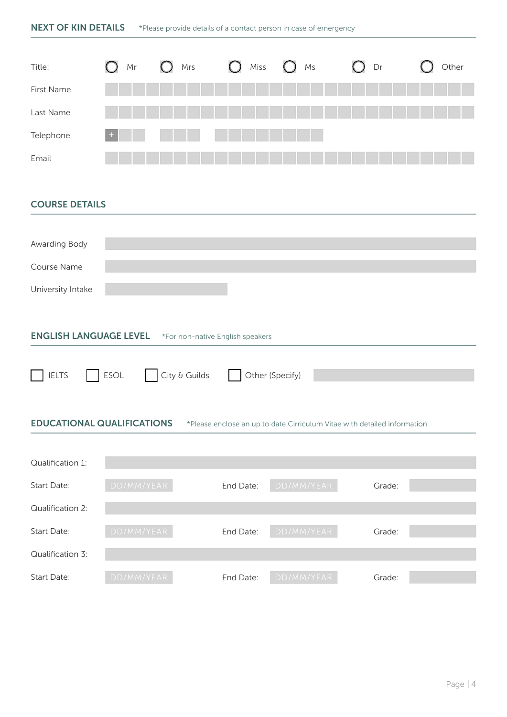| <b>NEXT OF KIN DETAILS</b>    |                 | *Please provide details of a contact person in case of emergency |                                  |                 |        |       |
|-------------------------------|-----------------|------------------------------------------------------------------|----------------------------------|-----------------|--------|-------|
| Title:                        | $\bigcap$<br>Mr | Mrs<br>$\cup$                                                    | Miss<br>$\left( \right)$         | $\bigcap$<br>Ms | $O$ Dr | Other |
| First Name                    |                 |                                                                  |                                  |                 |        |       |
| Last Name                     |                 |                                                                  |                                  |                 |        |       |
| Telephone                     |                 |                                                                  |                                  |                 |        |       |
| Email                         |                 |                                                                  |                                  |                 |        |       |
|                               |                 |                                                                  |                                  |                 |        |       |
| <b>COURSE DETAILS</b>         |                 |                                                                  |                                  |                 |        |       |
|                               |                 |                                                                  |                                  |                 |        |       |
| Awarding Body                 |                 |                                                                  |                                  |                 |        |       |
| Course Name                   |                 |                                                                  |                                  |                 |        |       |
| University Intake             |                 |                                                                  |                                  |                 |        |       |
|                               |                 |                                                                  |                                  |                 |        |       |
| <b>ENGLISH LANGUAGE LEVEL</b> |                 |                                                                  | *For non-native English speakers |                 |        |       |
|                               |                 |                                                                  |                                  |                 |        |       |
| <b>IELTS</b>                  | <b>ESOL</b>     | City & Guilds                                                    | Other (Specify)                  |                 |        |       |

EDUCATIONAL QUALIFICATIONS \*Please enclose an up to date Cirriculum Vitae with detailed information

| Qualification 1: |            |           |            |        |  |
|------------------|------------|-----------|------------|--------|--|
| Start Date:      | DD/MM/YEAR | End Date: | DD/MM/YEAR | Grade: |  |
| Qualification 2: |            |           |            |        |  |
| Start Date:      | DD/MM/YEAR | End Date: | DD/MM/YEAR | Grade: |  |
| Qualification 3: |            |           |            |        |  |
| Start Date:      | DD/MM/YEAR | End Date: | DD/MM/YEAR | Grade: |  |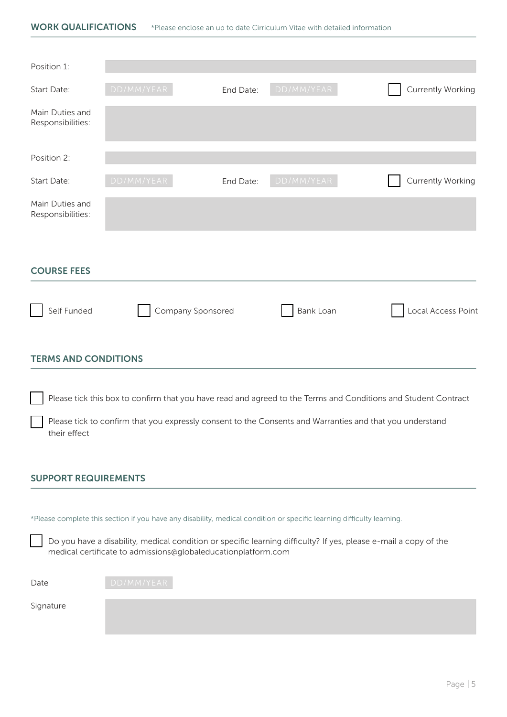| Position 1:                          |                   |           |                  |                                                                                                                |
|--------------------------------------|-------------------|-----------|------------------|----------------------------------------------------------------------------------------------------------------|
| Start Date:                          | DD/MM/YEAR        | End Date: | DD/MM/YEAR       | <b>Currently Working</b>                                                                                       |
| Main Duties and<br>Responsibilities: |                   |           |                  |                                                                                                                |
| Position 2:                          |                   |           |                  |                                                                                                                |
| Start Date:                          | DD/MM/YEAR        | End Date: | DD/MM/YEAR       | <b>Currently Working</b>                                                                                       |
| Main Duties and<br>Responsibilities: |                   |           |                  |                                                                                                                |
| <b>COURSE FEES</b>                   |                   |           |                  |                                                                                                                |
| Self Funded                          | Company Sponsored |           | <b>Bank Loan</b> | Local Access Point                                                                                             |
| <b>TERMS AND CONDITIONS</b>          |                   |           |                  |                                                                                                                |
|                                      |                   |           |                  | Please tick this box to confirm that you have read and agreed to the Terms and Conditions and Student Contract |

Please tick to confirm that you expressly consent to the Consents and Warranties and that you understand their effect

#### SUPPORT REQUIREMENTS

\*Please complete this section if you have any disability, medical condition or specific learning difficulty learning.

Do you have a disability, medical condition or specific learning difficulty? If yes, please e-mail a copy of the medical certificate to admissions@globaleducationplatform.com

| Date | DD/MM/YEAR |
|------|------------|
|      |            |

Signature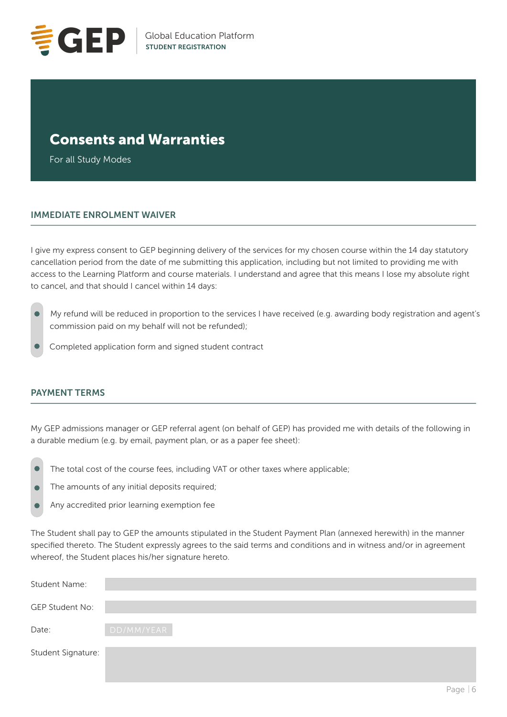

# Consents and Warranties

For all Study Modes

#### IMMEDIATE ENROLMENT WAIVER

I give my express consent to GEP beginning delivery of the services for my chosen course within the 14 day statutory cancellation period from the date of me submitting this application, including but not limited to providing me with access to the Learning Platform and course materials. I understand and agree that this means I lose my absolute right to cancel, and that should I cancel within 14 days:

- My refund will be reduced in proportion to the services I have received (e.g. awarding body registration and agent's commission paid on my behalf will not be refunded);
- Completed application form and signed student contract

#### PAYMENT TERMS

My GEP admissions manager or GEP referral agent (on behalf of GEP) has provided me with details of the following in a durable medium (e.g. by email, payment plan, or as a paper fee sheet):

- The total cost of the course fees, including VAT or other taxes where applicable;  $\bullet$
- The amounts of any initial deposits required;  $\bullet$
- Any accredited prior learning exemption fee

The Student shall pay to GEP the amounts stipulated in the Student Payment Plan (annexed herewith) in the manner specified thereto. The Student expressly agrees to the said terms and conditions and in witness and/or in agreement whereof, the Student places his/her signature hereto.

| Student Name:          |            |
|------------------------|------------|
| <b>GEP Student No:</b> |            |
| Date:                  | DD/MM/YEAR |
| Student Signature:     |            |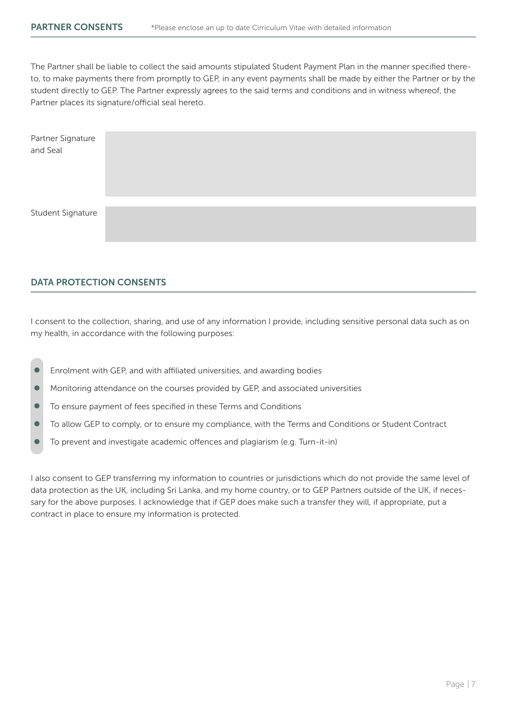The Partner shall be liable to collect the said amounts stipulated Student Payment Plan in the manner specified thereto, to make payments there from promptly to GEP, in any event payments shall be made by either the Partner or by the student directly to GEP. The Partner expressly agrees to the said terms and conditions and in witness whereof, the Partner places its signature/official seal hereto.

| Partner Signature<br>and Seal |  |
|-------------------------------|--|
| Student Signature             |  |

#### DATA PROTECTION CONSENTS

I consent to the collection, sharing, and use of any information I provide, including sensitive personal data such as on my health, in accordance with the following purposes:

- Enrolment with GEP, and with affiliated universities, and awarding bodies
- $\bullet$ Monitoring attendance on the courses provided by GEP, and associated universities
- $\bullet$ To ensure payment of fees specified in these Terms and Conditions
- $\bullet$ To allow GEP to comply, or to ensure my compliance, with the Terms and Conditions or Student Contract
- To prevent and investigate academic offences and plagiarism (e.g. Turn-it-in)

I also consent to GEP transferring my information to countries or jurisdictions which do not provide the same level of data protection as the UK, including Sri Lanka, and my home country, or to GEP Partners outside of the UK, if necessary for the above purposes. I acknowledge that if GEP does make such a transfer they will, if appropriate, put a contract in place to ensure my information is protected.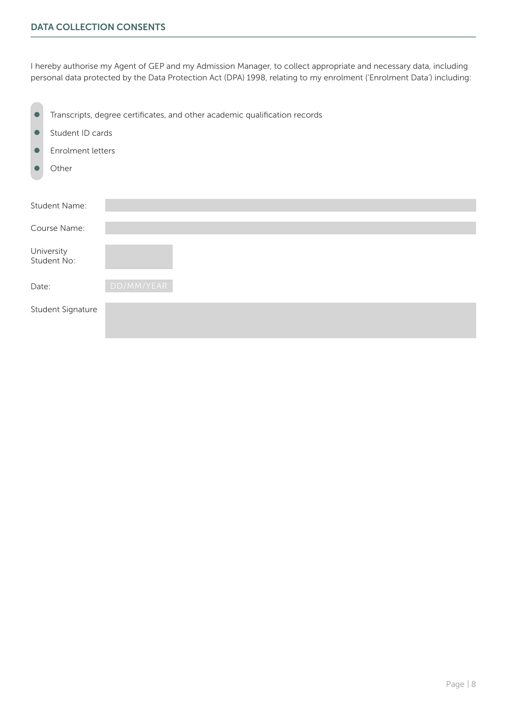I hereby authorise my Agent of GEP and my Admission Manager, to collect appropriate and necessary data, including personal data protected by the Data Protection Act (DPA) 1998, relating to my enrolment ('Enrolment Data') including:

| O         |                           | Transcripts, degree certificates, and other academic qualification records |  |  |  |  |
|-----------|---------------------------|----------------------------------------------------------------------------|--|--|--|--|
| $\bullet$ | Student ID cards          |                                                                            |  |  |  |  |
| O         |                           | Enrolment letters                                                          |  |  |  |  |
|           | Other                     |                                                                            |  |  |  |  |
|           |                           |                                                                            |  |  |  |  |
|           | Student Name:             |                                                                            |  |  |  |  |
|           | Course Name:              |                                                                            |  |  |  |  |
|           | University<br>Student No: |                                                                            |  |  |  |  |
| Date:     |                           | DD/MM/YEAR                                                                 |  |  |  |  |
|           | Student Signature         |                                                                            |  |  |  |  |